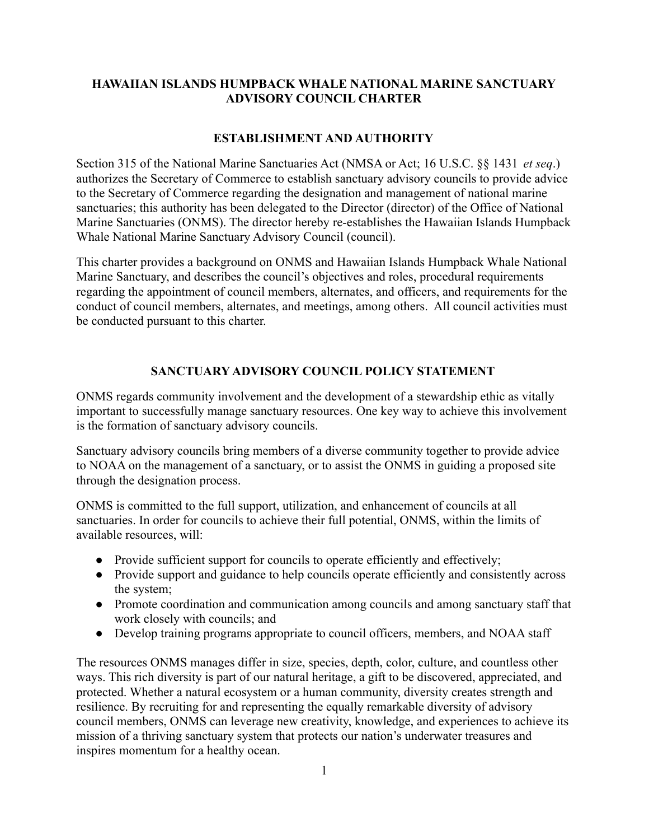# **HAWAIIAN ISLANDS HUMPBACK WHALE NATIONAL MARINE SANCTUARY ADVISORY COUNCIL CHARTER**

## **ESTABLISHMENT AND AUTHORITY**

Section 315 of the National Marine Sanctuaries Act (NMSA or Act; 16 U.S.C. §§ 1431 *et seq*.) authorizes the Secretary of Commerce to establish sanctuary advisory councils to provide advice to the Secretary of Commerce regarding the designation and management of national marine sanctuaries; this authority has been delegated to the Director (director) of the Office of National Marine Sanctuaries (ONMS). The director hereby re-establishes the Hawaiian Islands Humpback Whale National Marine Sanctuary Advisory Council (council).

This charter provides a background on ONMS and Hawaiian Islands Humpback Whale National Marine Sanctuary, and describes the council's objectives and roles, procedural requirements regarding the appointment of council members, alternates, and officers, and requirements for the conduct of council members, alternates, and meetings, among others. All council activities must be conducted pursuant to this charter.

## **SANCTUARY ADVISORY COUNCIL POLICY STATEMENT**

ONMS regards community involvement and the development of a stewardship ethic as vitally important to successfully manage sanctuary resources. One key way to achieve this involvement is the formation of sanctuary advisory councils.

Sanctuary advisory councils bring members of a diverse community together to provide advice to NOAA on the management of a sanctuary, or to assist the ONMS in guiding a proposed site through the designation process.

ONMS is committed to the full support, utilization, and enhancement of councils at all sanctuaries. In order for councils to achieve their full potential, ONMS, within the limits of available resources, will:

- Provide sufficient support for councils to operate efficiently and effectively;
- Provide support and guidance to help councils operate efficiently and consistently across the system;
- Promote coordination and communication among councils and among sanctuary staff that work closely with councils; and
- Develop training programs appropriate to council officers, members, and NOAA staff

The resources ONMS manages differ in size, species, depth, color, culture, and countless other ways. This rich diversity is part of our natural heritage, a gift to be discovered, appreciated, and protected. Whether a natural ecosystem or a human community, diversity creates strength and resilience. By recruiting for and representing the equally remarkable diversity of advisory council members, ONMS can leverage new creativity, knowledge, and experiences to achieve its mission of a thriving sanctuary system that protects our nation's underwater treasures and inspires momentum for a healthy ocean.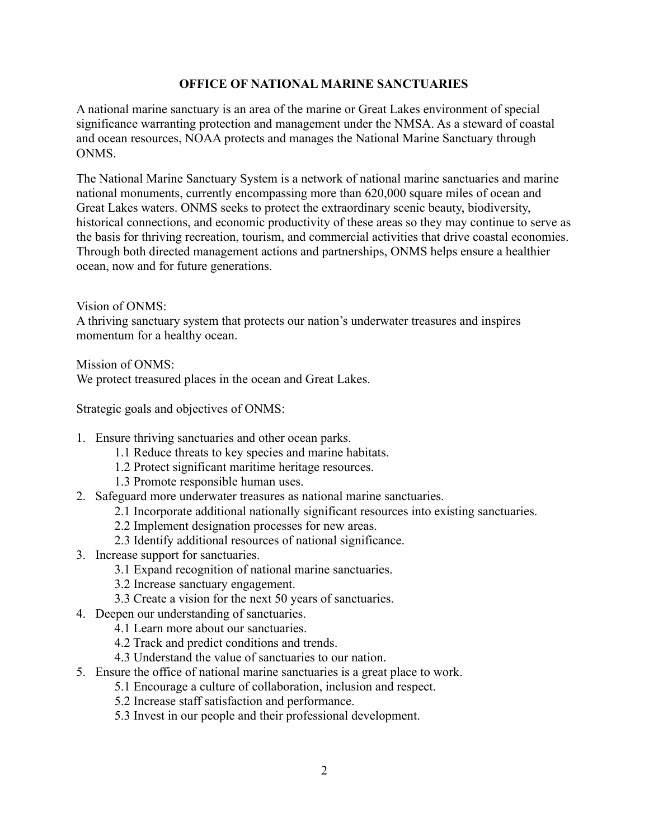## **OFFICE OF NATIONAL MARINE SANCTUARIES**

A national marine sanctuary is an area of the marine or Great Lakes environment of special significance warranting protection and management under the NMSA. As a steward of coastal and ocean resources, NOAA protects and manages the National Marine Sanctuary through ONMS.

The National Marine Sanctuary System is a network of national marine sanctuaries and marine national monuments, currently encompassing more than 620,000 square miles of ocean and Great Lakes waters. ONMS seeks to protect the extraordinary scenic beauty, biodiversity, historical connections, and economic productivity of these areas so they may continue to serve as the basis for thriving recreation, tourism, and commercial activities that drive coastal economies. Through both directed management actions and partnerships, ONMS helps ensure a healthier ocean, now and for future generations.

Vision of ONMS:

A thriving sanctuary system that protects our nation's underwater treasures and inspires momentum for a healthy ocean.

Mission of ONMS:

We protect treasured places in the ocean and Great Lakes.

Strategic goals and objectives of ONMS:

- 1. Ensure thriving sanctuaries and other ocean parks.
	- 1.1 Reduce threats to key species and marine habitats.
	- 1.2 Protect significant maritime heritage resources.
	- 1.3 Promote responsible human uses.
- 2. Safeguard more underwater treasures as national marine sanctuaries.
	- 2.1 Incorporate additional nationally significant resources into existing sanctuaries.
	- 2.2 Implement designation processes for new areas.
	- 2.3 Identify additional resources of national significance.
- 3. Increase support for sanctuaries.
	- 3.1 Expand recognition of national marine sanctuaries.
	- 3.2 Increase sanctuary engagement.
	- 3.3 Create a vision for the next 50 years of sanctuaries.
- 4. Deepen our understanding of sanctuaries.
	- 4.1 Learn more about our sanctuaries.
	- 4.2 Track and predict conditions and trends.
	- 4.3 Understand the value of sanctuaries to our nation.
- 5. Ensure the office of national marine sanctuaries is a great place to work.
	- 5.1 Encourage a culture of collaboration, inclusion and respect.
	- 5.2 Increase staff satisfaction and performance.
	- 5.3 Invest in our people and their professional development.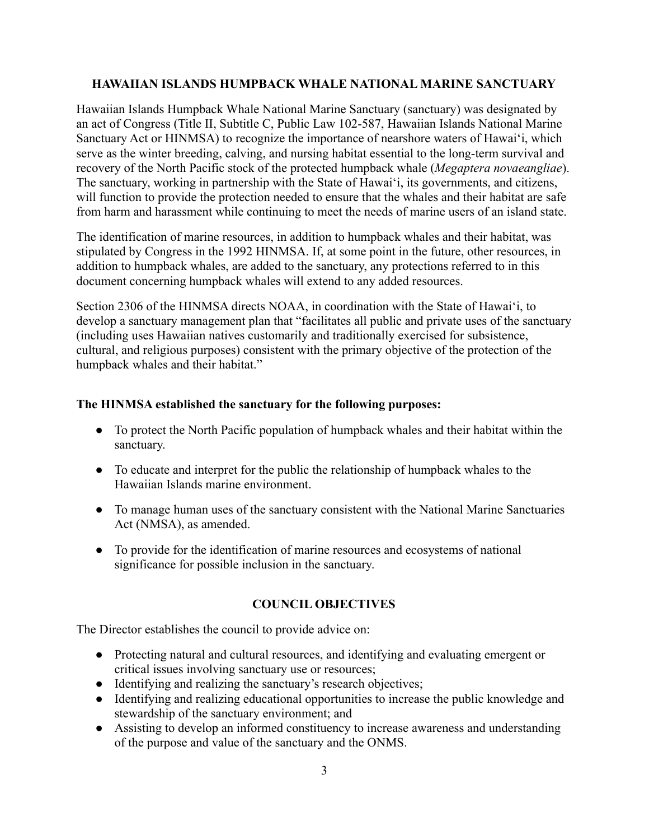## **HAWAIIAN ISLANDS HUMPBACK WHALE NATIONAL MARINE SANCTUARY**

Hawaiian Islands Humpback Whale National Marine Sanctuary (sanctuary) was designated by an act of Congress (Title II, Subtitle C, Public Law 102-587, Hawaiian Islands National Marine Sanctuary Act or HINMSA) to recognize the importance of nearshore waters of Hawai'i, which serve as the winter breeding, calving, and nursing habitat essential to the long-term survival and recovery of the North Pacific stock of the protected humpback whale (*Megaptera novaeangliae*). The sanctuary, working in partnership with the State of Hawai'i, its governments, and citizens, will function to provide the protection needed to ensure that the whales and their habitat are safe from harm and harassment while continuing to meet the needs of marine users of an island state.

The identification of marine resources, in addition to humpback whales and their habitat, was stipulated by Congress in the 1992 HINMSA. If, at some point in the future, other resources, in addition to humpback whales, are added to the sanctuary, any protections referred to in this document concerning humpback whales will extend to any added resources.

Section 2306 of the HINMSA directs NOAA, in coordination with the State of Hawai'i, to develop a sanctuary management plan that "facilitates all public and private uses of the sanctuary (including uses Hawaiian natives customarily and traditionally exercised for subsistence, cultural, and religious purposes) consistent with the primary objective of the protection of the humpback whales and their habitat."

# **The HINMSA established the sanctuary for the following purposes:**

- To protect the North Pacific population of humpback whales and their habitat within the sanctuary.
- To educate and interpret for the public the relationship of humpback whales to the Hawaiian Islands marine environment.
- To manage human uses of the sanctuary consistent with the National Marine Sanctuaries Act (NMSA), as amended.
- To provide for the identification of marine resources and ecosystems of national significance for possible inclusion in the sanctuary.

# **COUNCIL OBJECTIVES**

The Director establishes the council to provide advice on:

- Protecting natural and cultural resources, and identifying and evaluating emergent or critical issues involving sanctuary use or resources;
- Identifying and realizing the sanctuary's research objectives;
- Identifying and realizing educational opportunities to increase the public knowledge and stewardship of the sanctuary environment; and
- Assisting to develop an informed constituency to increase awareness and understanding of the purpose and value of the sanctuary and the ONMS.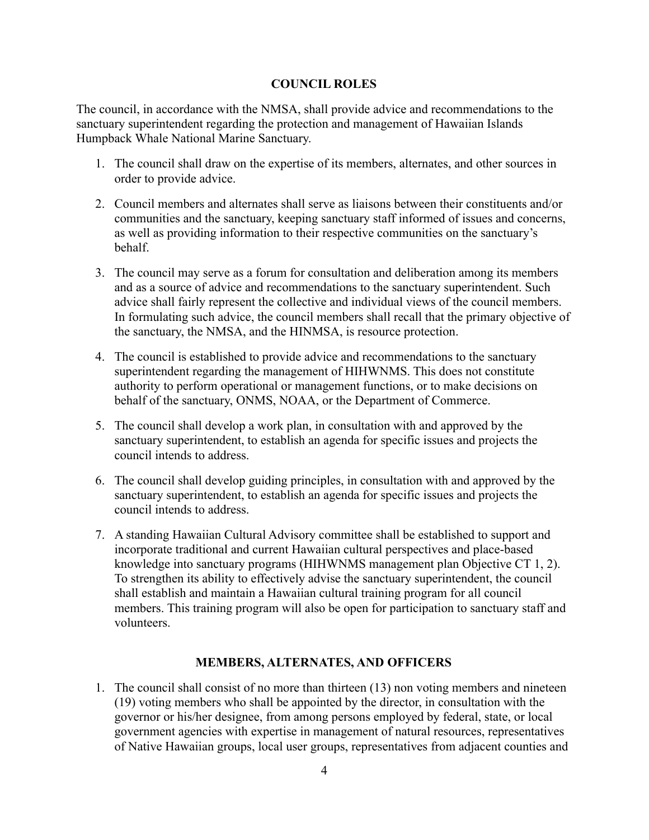## **COUNCIL ROLES**

The council, in accordance with the NMSA, shall provide advice and recommendations to the sanctuary superintendent regarding the protection and management of Hawaiian Islands Humpback Whale National Marine Sanctuary.

- 1. The council shall draw on the expertise of its members, alternates, and other sources in order to provide advice.
- 2. Council members and alternates shall serve as liaisons between their constituents and/or communities and the sanctuary, keeping sanctuary staff informed of issues and concerns, as well as providing information to their respective communities on the sanctuary's behalf.
- 3. The council may serve as a forum for consultation and deliberation among its members and as a source of advice and recommendations to the sanctuary superintendent. Such advice shall fairly represent the collective and individual views of the council members. In formulating such advice, the council members shall recall that the primary objective of the sanctuary, the NMSA, and the HINMSA, is resource protection.
- 4. The council is established to provide advice and recommendations to the sanctuary superintendent regarding the management of HIHWNMS. This does not constitute authority to perform operational or management functions, or to make decisions on behalf of the sanctuary, ONMS, NOAA, or the Department of Commerce.
- 5. The council shall develop a work plan, in consultation with and approved by the sanctuary superintendent, to establish an agenda for specific issues and projects the council intends to address.
- 6. The council shall develop guiding principles, in consultation with and approved by the sanctuary superintendent, to establish an agenda for specific issues and projects the council intends to address.
- 7. A standing Hawaiian Cultural Advisory committee shall be established to support and incorporate traditional and current Hawaiian cultural perspectives and place-based knowledge into sanctuary programs (HIHWNMS management plan Objective CT 1, 2). To strengthen its ability to effectively advise the sanctuary superintendent, the council shall establish and maintain a Hawaiian cultural training program for all council members. This training program will also be open for participation to sanctuary staff and volunteers.

# **MEMBERS, ALTERNATES, AND OFFICERS**

1. The council shall consist of no more than thirteen (13) non voting members and nineteen (19) voting members who shall be appointed by the director, in consultation with the governor or his/her designee, from among persons employed by federal, state, or local government agencies with expertise in management of natural resources, representatives of Native Hawaiian groups, local user groups, representatives from adjacent counties and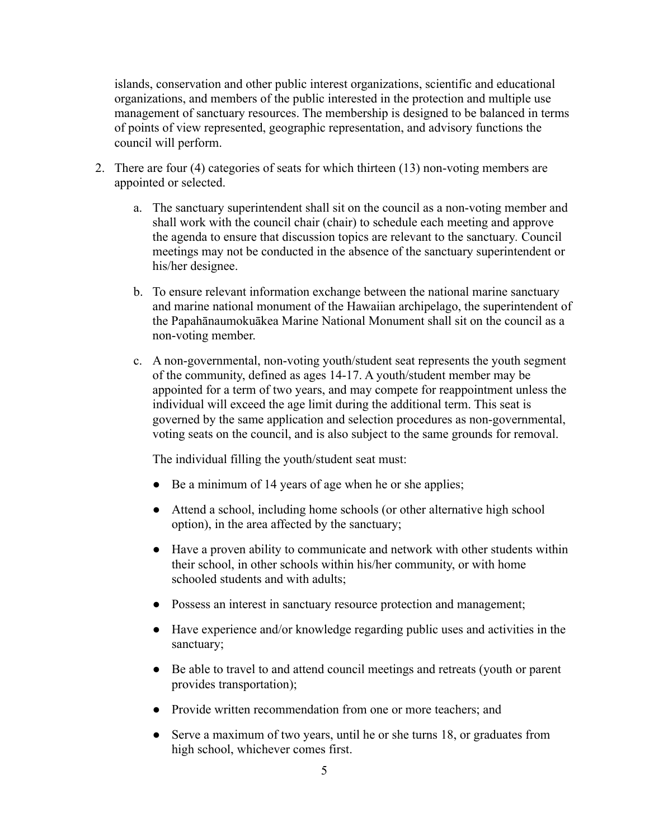islands, conservation and other public interest organizations, scientific and educational organizations, and members of the public interested in the protection and multiple use management of sanctuary resources. The membership is designed to be balanced in terms of points of view represented, geographic representation, and advisory functions the council will perform.

- 2. There are four (4) categories of seats for which thirteen (13) non-voting members are appointed or selected.
	- a. The sanctuary superintendent shall sit on the council as a non-voting member and shall work with the council chair (chair) to schedule each meeting and approve the agenda to ensure that discussion topics are relevant to the sanctuary*.* Council meetings may not be conducted in the absence of the sanctuary superintendent or his/her designee.
	- b. To ensure relevant information exchange between the national marine sanctuary and marine national monument of the Hawaiian archipelago, the superintendent of the Papahānaumokuākea Marine National Monument shall sit on the council as a non-voting member.
	- c. A non-governmental, non-voting youth/student seat represents the youth segment of the community, defined as ages 14-17. A youth/student member may be appointed for a term of two years, and may compete for reappointment unless the individual will exceed the age limit during the additional term. This seat is governed by the same application and selection procedures as non-governmental, voting seats on the council, and is also subject to the same grounds for removal.

The individual filling the youth/student seat must:

- Be a minimum of 14 years of age when he or she applies;
- Attend a school, including home schools (or other alternative high school option), in the area affected by the sanctuary;
- Have a proven ability to communicate and network with other students within their school, in other schools within his/her community, or with home schooled students and with adults;
- Possess an interest in sanctuary resource protection and management;
- Have experience and/or knowledge regarding public uses and activities in the sanctuary;
- Be able to travel to and attend council meetings and retreats (youth or parent provides transportation);
- Provide written recommendation from one or more teachers; and
- Serve a maximum of two years, until he or she turns 18, or graduates from high school, whichever comes first.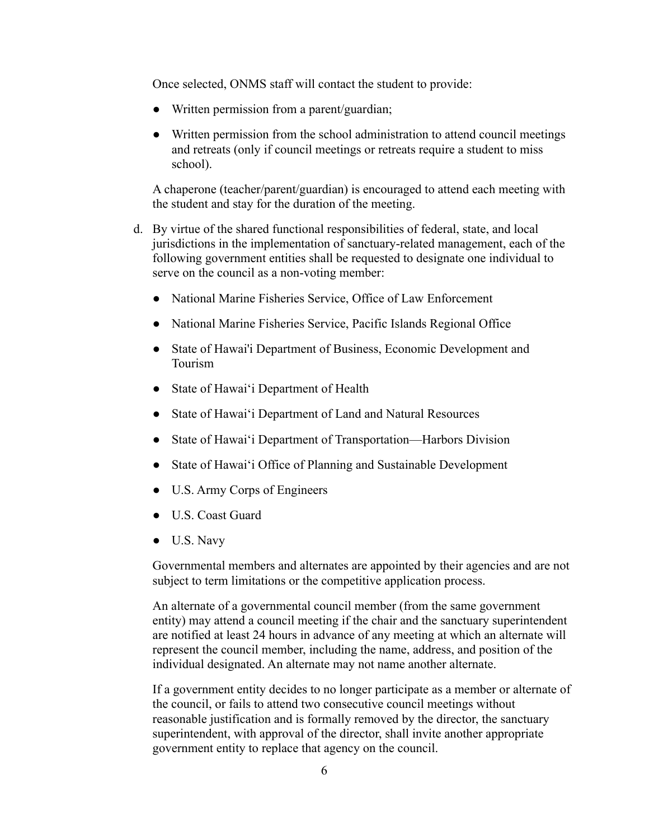Once selected, ONMS staff will contact the student to provide:

- Written permission from a parent/guardian;
- Written permission from the school administration to attend council meetings and retreats (only if council meetings or retreats require a student to miss school).

A chaperone (teacher/parent/guardian) is encouraged to attend each meeting with the student and stay for the duration of the meeting.

- d. By virtue of the shared functional responsibilities of federal, state, and local jurisdictions in the implementation of sanctuary-related management, each of the following government entities shall be requested to designate one individual to serve on the council as a non-voting member:
	- National Marine Fisheries Service, Office of Law Enforcement
	- National Marine Fisheries Service, Pacific Islands Regional Office
	- State of Hawai'i Department of Business, Economic Development and Tourism
	- State of Hawai'i Department of Health
	- State of Hawai'i Department of Land and Natural Resources
	- State of Hawai'i Department of Transportation—Harbors Division
	- State of Hawai'i Office of Planning and Sustainable Development
	- U.S. Army Corps of Engineers
	- U.S. Coast Guard
	- U.S. Navy

Governmental members and alternates are appointed by their agencies and are not subject to term limitations or the competitive application process.

An alternate of a governmental council member (from the same government entity) may attend a council meeting if the chair and the sanctuary superintendent are notified at least 24 hours in advance of any meeting at which an alternate will represent the council member, including the name, address, and position of the individual designated. An alternate may not name another alternate.

If a government entity decides to no longer participate as a member or alternate of the council, or fails to attend two consecutive council meetings without reasonable justification and is formally removed by the director, the sanctuary superintendent, with approval of the director, shall invite another appropriate government entity to replace that agency on the council.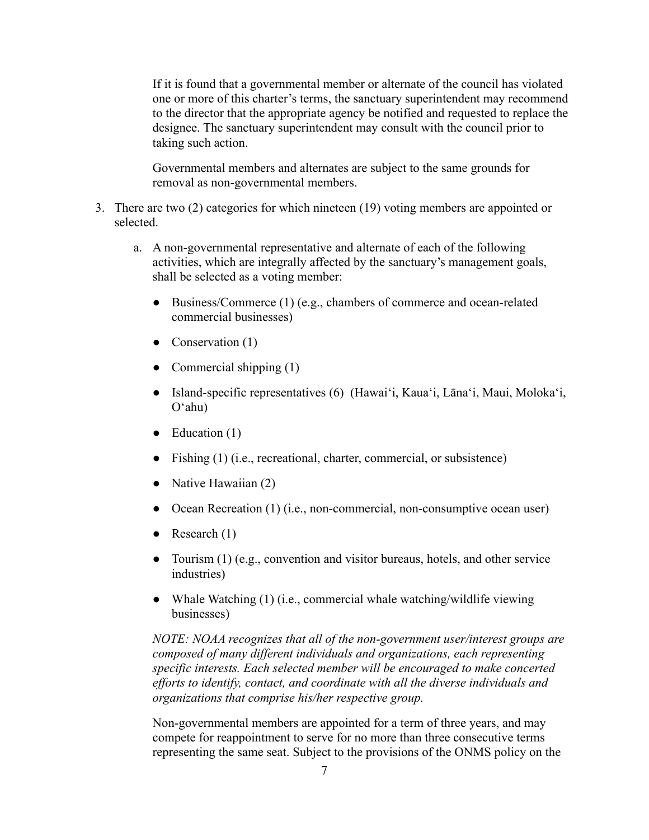If it is found that a governmental member or alternate of the council has violated one or more of this charter's terms, the sanctuary superintendent may recommend to the director that the appropriate agency be notified and requested to replace the designee. The sanctuary superintendent may consult with the council prior to taking such action.

Governmental members and alternates are subject to the same grounds for removal as non-governmental members.

- 3. There are two (2) categories for which nineteen (19) voting members are appointed or selected.
	- a. A non-governmental representative and alternate of each of the following activities, which are integrally affected by the sanctuary's management goals, shall be selected as a voting member:
		- Business/Commerce (1) (e.g., chambers of commerce and ocean-related commercial businesses)
		- Conservation (1)
		- Commercial shipping  $(1)$
		- Island-specific representatives (6) (Hawai'i, Kaua'i, Lāna'i, Maui, Moloka'i, Oʻahu)
		- $\bullet$  Education (1)
		- Fishing (1) (i.e., recreational, charter, commercial, or subsistence)
		- Native Hawaiian  $(2)$
		- Ocean Recreation (1) (i.e., non-commercial, non-consumptive ocean user)
		- Research  $(1)$
		- Tourism (1) (e.g., convention and visitor bureaus, hotels, and other service industries)
		- Whale Watching (1) (i.e., commercial whale watching/wildlife viewing businesses)

*NOTE: NOAA recognizes that all of the non-government user/interest groups are composed of many different individuals and organizations, each representing specific interests. Each selected member will be encouraged to make concerted efforts to identify, contact, and coordinate with all the diverse individuals and organizations that comprise his/her respective group.*

Non-governmental members are appointed for a term of three years, and may compete for reappointment to serve for no more than three consecutive terms representing the same seat. Subject to the provisions of the ONMS policy on the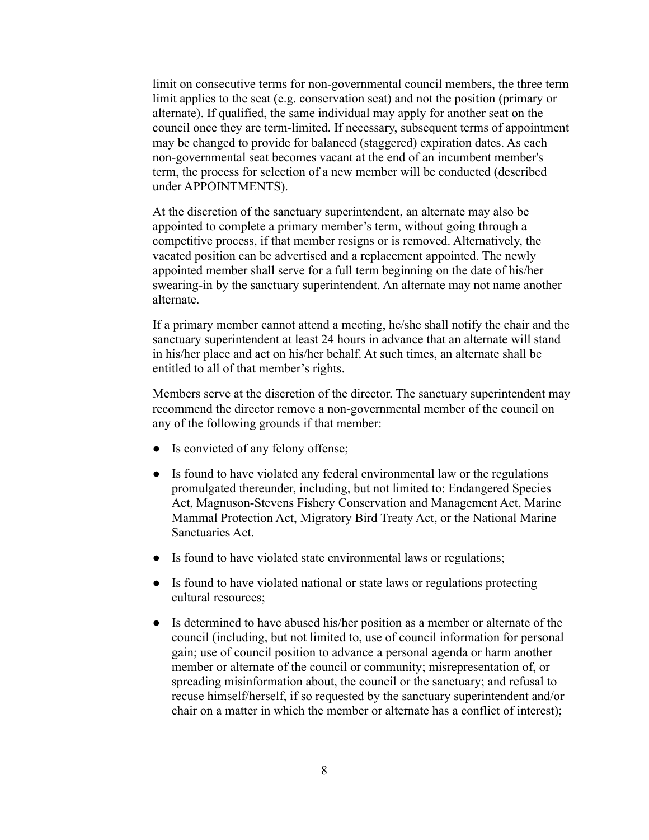limit on consecutive terms for non-governmental council members, the three term limit applies to the seat (e.g. conservation seat) and not the position (primary or alternate). If qualified, the same individual may apply for another seat on the council once they are term-limited. If necessary, subsequent terms of appointment may be changed to provide for balanced (staggered) expiration dates. As each non-governmental seat becomes vacant at the end of an incumbent member's term, the process for selection of a new member will be conducted (described under APPOINTMENTS).

At the discretion of the sanctuary superintendent, an alternate may also be appointed to complete a primary member's term, without going through a competitive process, if that member resigns or is removed. Alternatively, the vacated position can be advertised and a replacement appointed. The newly appointed member shall serve for a full term beginning on the date of his/her swearing-in by the sanctuary superintendent. An alternate may not name another alternate.

If a primary member cannot attend a meeting, he/she shall notify the chair and the sanctuary superintendent at least 24 hours in advance that an alternate will stand in his/her place and act on his/her behalf. At such times, an alternate shall be entitled to all of that member's rights.

Members serve at the discretion of the director. The sanctuary superintendent may recommend the director remove a non-governmental member of the council on any of the following grounds if that member:

- Is convicted of any felony offense;
- Is found to have violated any federal environmental law or the regulations promulgated thereunder, including, but not limited to: Endangered Species Act, Magnuson-Stevens Fishery Conservation and Management Act, Marine Mammal Protection Act, Migratory Bird Treaty Act, or the National Marine Sanctuaries Act.
- Is found to have violated state environmental laws or regulations;
- Is found to have violated national or state laws or regulations protecting cultural resources;
- Is determined to have abused his/her position as a member or alternate of the council (including, but not limited to, use of council information for personal gain; use of council position to advance a personal agenda or harm another member or alternate of the council or community; misrepresentation of, or spreading misinformation about, the council or the sanctuary; and refusal to recuse himself/herself, if so requested by the sanctuary superintendent and/or chair on a matter in which the member or alternate has a conflict of interest);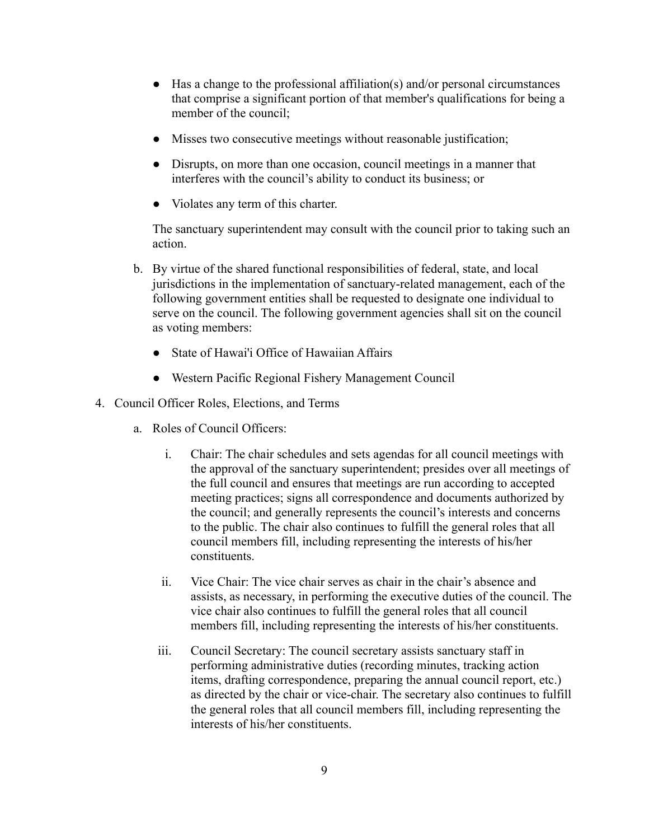- $\bullet$  Has a change to the professional affiliation(s) and/or personal circumstances that comprise a significant portion of that member's qualifications for being a member of the council;
- Misses two consecutive meetings without reasonable justification;
- Disrupts, on more than one occasion, council meetings in a manner that interferes with the council's ability to conduct its business; or
- Violates any term of this charter.

The sanctuary superintendent may consult with the council prior to taking such an action.

- b. By virtue of the shared functional responsibilities of federal, state, and local jurisdictions in the implementation of sanctuary-related management, each of the following government entities shall be requested to designate one individual to serve on the council. The following government agencies shall sit on the council as voting members:
	- State of Hawai'i Office of Hawaiian Affairs
	- Western Pacific Regional Fishery Management Council
- 4. Council Officer Roles, Elections, and Terms
	- a. Roles of Council Officers:
		- i. Chair: The chair schedules and sets agendas for all council meetings with the approval of the sanctuary superintendent; presides over all meetings of the full council and ensures that meetings are run according to accepted meeting practices; signs all correspondence and documents authorized by the council; and generally represents the council's interests and concerns to the public. The chair also continues to fulfill the general roles that all council members fill, including representing the interests of his/her constituents.
		- ii. Vice Chair: The vice chair serves as chair in the chair's absence and assists, as necessary, in performing the executive duties of the council. The vice chair also continues to fulfill the general roles that all council members fill, including representing the interests of his/her constituents.
		- iii. Council Secretary: The council secretary assists sanctuary staff in performing administrative duties (recording minutes, tracking action items, drafting correspondence, preparing the annual council report, etc.) as directed by the chair or vice-chair. The secretary also continues to fulfill the general roles that all council members fill, including representing the interests of his/her constituents.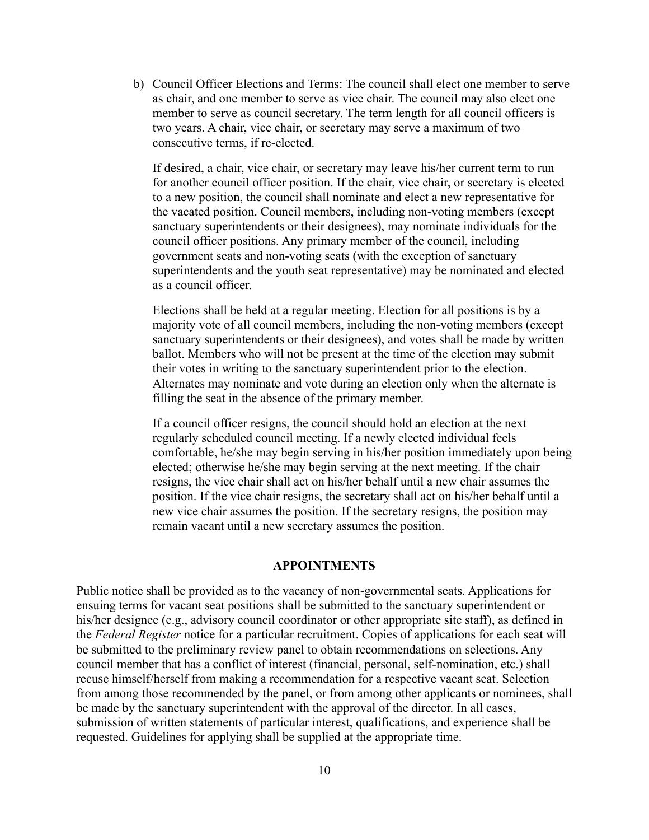b) Council Officer Elections and Terms: The council shall elect one member to serve as chair, and one member to serve as vice chair. The council may also elect one member to serve as council secretary. The term length for all council officers is two years. A chair, vice chair, or secretary may serve a maximum of two consecutive terms, if re-elected.

If desired, a chair, vice chair, or secretary may leave his/her current term to run for another council officer position. If the chair, vice chair, or secretary is elected to a new position, the council shall nominate and elect a new representative for the vacated position. Council members, including non-voting members (except sanctuary superintendents or their designees), may nominate individuals for the council officer positions. Any primary member of the council, including government seats and non-voting seats (with the exception of sanctuary superintendents and the youth seat representative) may be nominated and elected as a council officer.

Elections shall be held at a regular meeting. Election for all positions is by a majority vote of all council members, including the non-voting members (except sanctuary superintendents or their designees), and votes shall be made by written ballot. Members who will not be present at the time of the election may submit their votes in writing to the sanctuary superintendent prior to the election. Alternates may nominate and vote during an election only when the alternate is filling the seat in the absence of the primary member.

If a council officer resigns, the council should hold an election at the next regularly scheduled council meeting. If a newly elected individual feels comfortable, he/she may begin serving in his/her position immediately upon being elected; otherwise he/she may begin serving at the next meeting. If the chair resigns, the vice chair shall act on his/her behalf until a new chair assumes the position. If the vice chair resigns, the secretary shall act on his/her behalf until a new vice chair assumes the position. If the secretary resigns, the position may remain vacant until a new secretary assumes the position.

#### **APPOINTMENTS**

Public notice shall be provided as to the vacancy of non-governmental seats. Applications for ensuing terms for vacant seat positions shall be submitted to the sanctuary superintendent or his/her designee (e.g., advisory council coordinator or other appropriate site staff), as defined in the *Federal Register* notice for a particular recruitment. Copies of applications for each seat will be submitted to the preliminary review panel to obtain recommendations on selections. Any council member that has a conflict of interest (financial, personal, self-nomination, etc.) shall recuse himself/herself from making a recommendation for a respective vacant seat. Selection from among those recommended by the panel, or from among other applicants or nominees, shall be made by the sanctuary superintendent with the approval of the director. In all cases, submission of written statements of particular interest, qualifications, and experience shall be requested. Guidelines for applying shall be supplied at the appropriate time.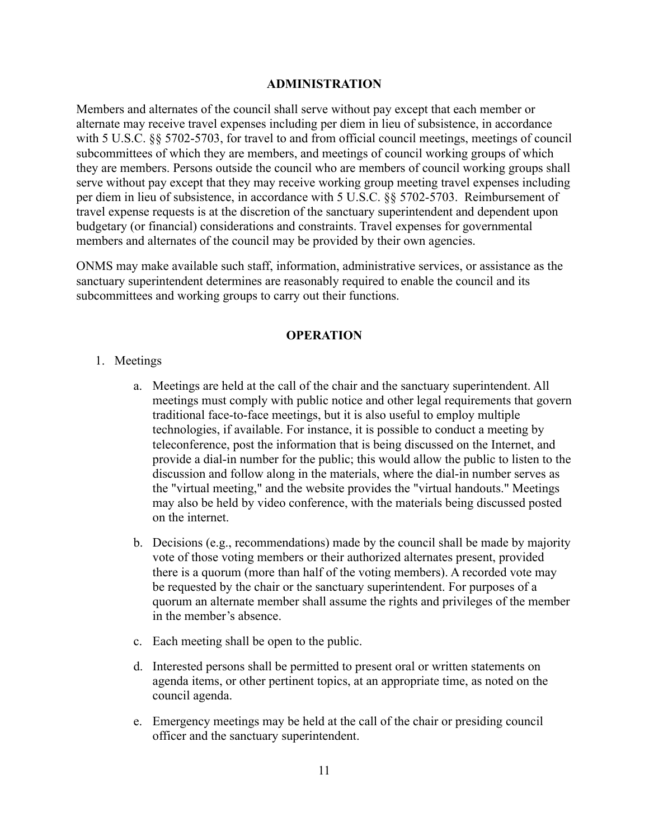#### **ADMINISTRATION**

Members and alternates of the council shall serve without pay except that each member or alternate may receive travel expenses including per diem in lieu of subsistence, in accordance with 5 U.S.C. §§ 5702-5703, for travel to and from official council meetings, meetings of council subcommittees of which they are members, and meetings of council working groups of which they are members. Persons outside the council who are members of council working groups shall serve without pay except that they may receive working group meeting travel expenses including per diem in lieu of subsistence, in accordance with 5 U.S.C. §§ 5702-5703. Reimbursement of travel expense requests is at the discretion of the sanctuary superintendent and dependent upon budgetary (or financial) considerations and constraints. Travel expenses for governmental members and alternates of the council may be provided by their own agencies.

ONMS may make available such staff, information, administrative services, or assistance as the sanctuary superintendent determines are reasonably required to enable the council and its subcommittees and working groups to carry out their functions.

### **OPERATION**

- 1. Meetings
	- a. Meetings are held at the call of the chair and the sanctuary superintendent. All meetings must comply with public notice and other legal requirements that govern traditional face-to-face meetings, but it is also useful to employ multiple technologies, if available. For instance, it is possible to conduct a meeting by teleconference, post the information that is being discussed on the Internet, and provide a dial-in number for the public; this would allow the public to listen to the discussion and follow along in the materials, where the dial-in number serves as the "virtual meeting," and the website provides the "virtual handouts." Meetings may also be held by video conference, with the materials being discussed posted on the internet.
	- b. Decisions (e.g., recommendations) made by the council shall be made by majority vote of those voting members or their authorized alternates present, provided there is a quorum (more than half of the voting members). A recorded vote may be requested by the chair or the sanctuary superintendent. For purposes of a quorum an alternate member shall assume the rights and privileges of the member in the member's absence.
	- c. Each meeting shall be open to the public.
	- d. Interested persons shall be permitted to present oral or written statements on agenda items, or other pertinent topics, at an appropriate time, as noted on the council agenda.
	- e. Emergency meetings may be held at the call of the chair or presiding council officer and the sanctuary superintendent.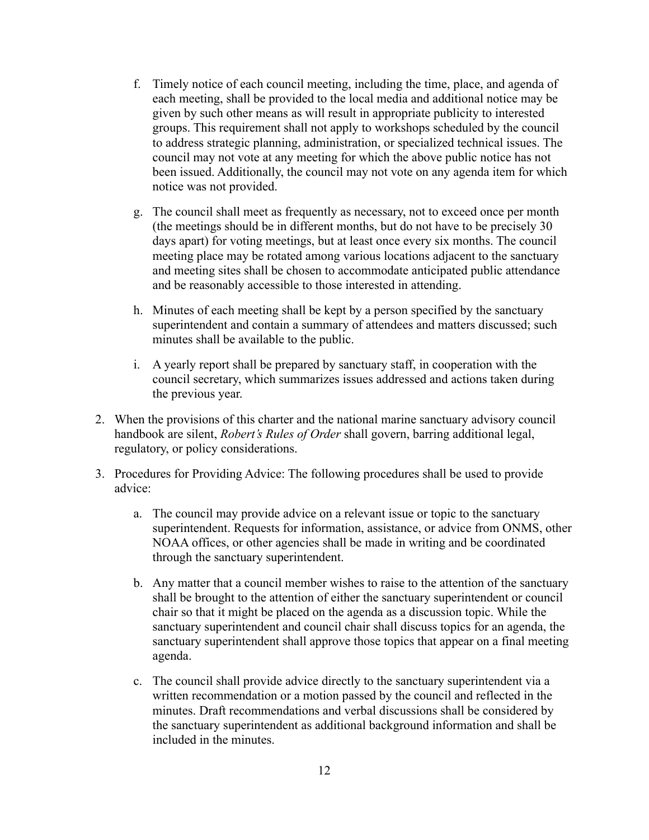- f. Timely notice of each council meeting, including the time, place, and agenda of each meeting, shall be provided to the local media and additional notice may be given by such other means as will result in appropriate publicity to interested groups. This requirement shall not apply to workshops scheduled by the council to address strategic planning, administration, or specialized technical issues. The council may not vote at any meeting for which the above public notice has not been issued. Additionally, the council may not vote on any agenda item for which notice was not provided.
- g. The council shall meet as frequently as necessary, not to exceed once per month (the meetings should be in different months, but do not have to be precisely 30 days apart) for voting meetings, but at least once every six months. The council meeting place may be rotated among various locations adjacent to the sanctuary and meeting sites shall be chosen to accommodate anticipated public attendance and be reasonably accessible to those interested in attending.
- h. Minutes of each meeting shall be kept by a person specified by the sanctuary superintendent and contain a summary of attendees and matters discussed; such minutes shall be available to the public.
- i. A yearly report shall be prepared by sanctuary staff, in cooperation with the council secretary, which summarizes issues addressed and actions taken during the previous year.
- 2. When the provisions of this charter and the national marine sanctuary advisory council handbook are silent, *Robert's Rules of Order* shall govern, barring additional legal, regulatory, or policy considerations.
- 3. Procedures for Providing Advice: The following procedures shall be used to provide advice:
	- a. The council may provide advice on a relevant issue or topic to the sanctuary superintendent. Requests for information, assistance, or advice from ONMS, other NOAA offices, or other agencies shall be made in writing and be coordinated through the sanctuary superintendent.
	- b. Any matter that a council member wishes to raise to the attention of the sanctuary shall be brought to the attention of either the sanctuary superintendent or council chair so that it might be placed on the agenda as a discussion topic. While the sanctuary superintendent and council chair shall discuss topics for an agenda, the sanctuary superintendent shall approve those topics that appear on a final meeting agenda.
	- c. The council shall provide advice directly to the sanctuary superintendent via a written recommendation or a motion passed by the council and reflected in the minutes. Draft recommendations and verbal discussions shall be considered by the sanctuary superintendent as additional background information and shall be included in the minutes.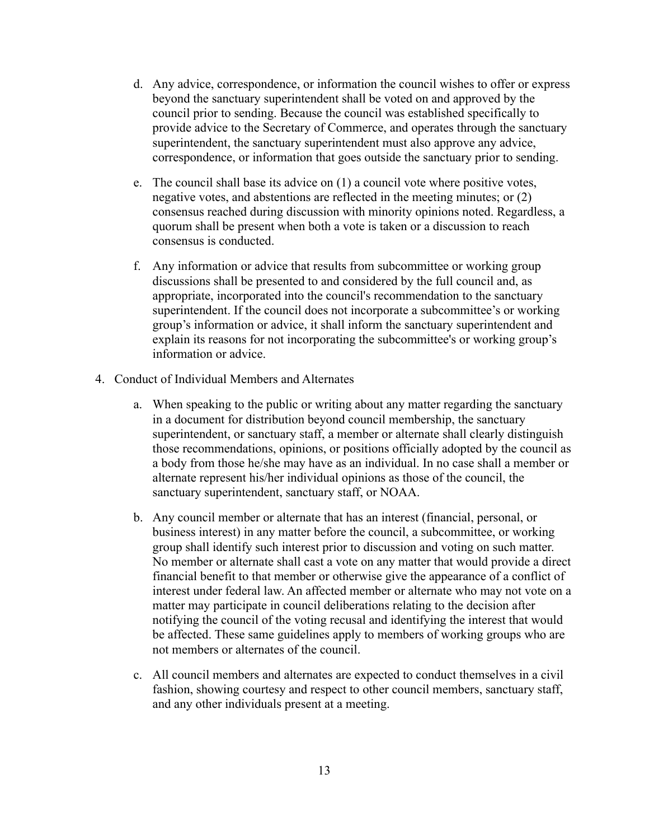- d. Any advice, correspondence, or information the council wishes to offer or express beyond the sanctuary superintendent shall be voted on and approved by the council prior to sending. Because the council was established specifically to provide advice to the Secretary of Commerce, and operates through the sanctuary superintendent, the sanctuary superintendent must also approve any advice, correspondence, or information that goes outside the sanctuary prior to sending.
- e. The council shall base its advice on (1) a council vote where positive votes, negative votes, and abstentions are reflected in the meeting minutes; or (2) consensus reached during discussion with minority opinions noted. Regardless, a quorum shall be present when both a vote is taken or a discussion to reach consensus is conducted.
- f. Any information or advice that results from subcommittee or working group discussions shall be presented to and considered by the full council and, as appropriate, incorporated into the council's recommendation to the sanctuary superintendent. If the council does not incorporate a subcommittee's or working group's information or advice, it shall inform the sanctuary superintendent and explain its reasons for not incorporating the subcommittee's or working group's information or advice.
- 4. Conduct of Individual Members and Alternates
	- a. When speaking to the public or writing about any matter regarding the sanctuary in a document for distribution beyond council membership, the sanctuary superintendent, or sanctuary staff, a member or alternate shall clearly distinguish those recommendations, opinions, or positions officially adopted by the council as a body from those he/she may have as an individual. In no case shall a member or alternate represent his/her individual opinions as those of the council, the sanctuary superintendent, sanctuary staff, or NOAA.
	- b. Any council member or alternate that has an interest (financial, personal, or business interest) in any matter before the council, a subcommittee, or working group shall identify such interest prior to discussion and voting on such matter. No member or alternate shall cast a vote on any matter that would provide a direct financial benefit to that member or otherwise give the appearance of a conflict of interest under federal law. An affected member or alternate who may not vote on a matter may participate in council deliberations relating to the decision after notifying the council of the voting recusal and identifying the interest that would be affected. These same guidelines apply to members of working groups who are not members or alternates of the council.
	- c. All council members and alternates are expected to conduct themselves in a civil fashion, showing courtesy and respect to other council members, sanctuary staff, and any other individuals present at a meeting.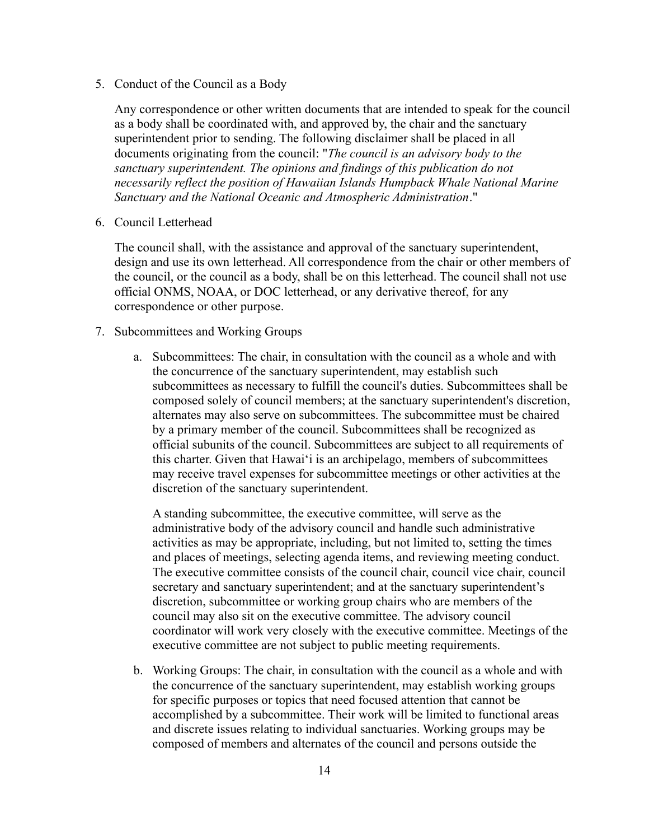5. Conduct of the Council as a Body

Any correspondence or other written documents that are intended to speak for the council as a body shall be coordinated with, and approved by, the chair and the sanctuary superintendent prior to sending. The following disclaimer shall be placed in all documents originating from the council: "*The council is an advisory body to the sanctuary superintendent. The opinions and findings of this publication do not necessarily reflect the position of Hawaiian Islands Humpback Whale National Marine Sanctuary and the National Oceanic and Atmospheric Administration*."

6. Council Letterhead

The council shall, with the assistance and approval of the sanctuary superintendent, design and use its own letterhead. All correspondence from the chair or other members of the council, or the council as a body, shall be on this letterhead. The council shall not use official ONMS, NOAA, or DOC letterhead, or any derivative thereof, for any correspondence or other purpose.

#### 7. Subcommittees and Working Groups

a. Subcommittees: The chair, in consultation with the council as a whole and with the concurrence of the sanctuary superintendent, may establish such subcommittees as necessary to fulfill the council's duties. Subcommittees shall be composed solely of council members; at the sanctuary superintendent's discretion, alternates may also serve on subcommittees. The subcommittee must be chaired by a primary member of the council. Subcommittees shall be recognized as official subunits of the council. Subcommittees are subject to all requirements of this charter. Given that Hawai'i is an archipelago, members of subcommittees may receive travel expenses for subcommittee meetings or other activities at the discretion of the sanctuary superintendent.

A standing subcommittee, the executive committee, will serve as the administrative body of the advisory council and handle such administrative activities as may be appropriate, including, but not limited to, setting the times and places of meetings, selecting agenda items, and reviewing meeting conduct. The executive committee consists of the council chair, council vice chair, council secretary and sanctuary superintendent; and at the sanctuary superintendent's discretion, subcommittee or working group chairs who are members of the council may also sit on the executive committee. The advisory council coordinator will work very closely with the executive committee. Meetings of the executive committee are not subject to public meeting requirements.

b. Working Groups: The chair, in consultation with the council as a whole and with the concurrence of the sanctuary superintendent, may establish working groups for specific purposes or topics that need focused attention that cannot be accomplished by a subcommittee. Their work will be limited to functional areas and discrete issues relating to individual sanctuaries. Working groups may be composed of members and alternates of the council and persons outside the